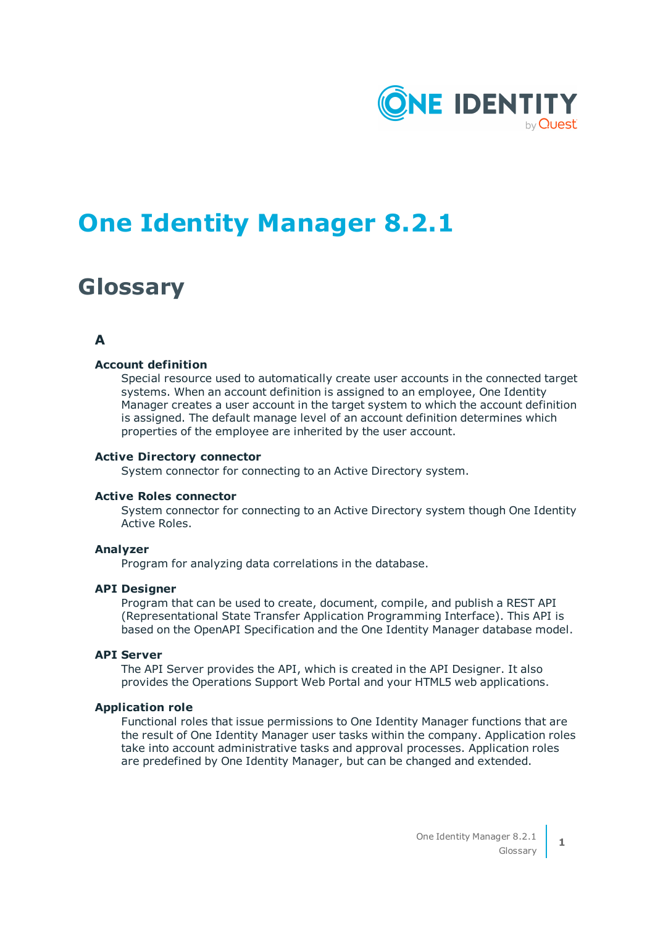

# **One Identity Manager 8.2.1**

# **Glossary**

# **A**

# **Account definition**

Special resource used to automatically create user accounts in the connected target systems. When an account definition is assigned to an employee, One Identity Manager creates a user account in the target system to which the account definition is assigned. The default manage level of an account definition determines which properties of the employee are inherited by the user account.

#### **Active Directory connector**

System connector for connecting to an Active Directory system.

#### **Active Roles connector**

System connector for connecting to an Active Directory system though One Identity Active Roles.

### **Analyzer**

Program for analyzing data correlations in the database.

#### **API Designer**

Program that can be used to create, document, compile, and publish a REST API (Representational State Transfer Application Programming Interface). This API is based on the OpenAPI Specification and the One Identity Manager database model.

# **API Server**

The API Server provides the API, which is created in the API Designer. It also provides the Operations Support Web Portal and your HTML5 web applications.

#### **Application role**

Functional roles that issue permissions to One Identity Manager functions that are the result of One Identity Manager user tasks within the company. Application roles take into account administrative tasks and approval processes. Application roles are predefined by One Identity Manager, but can be changed and extended.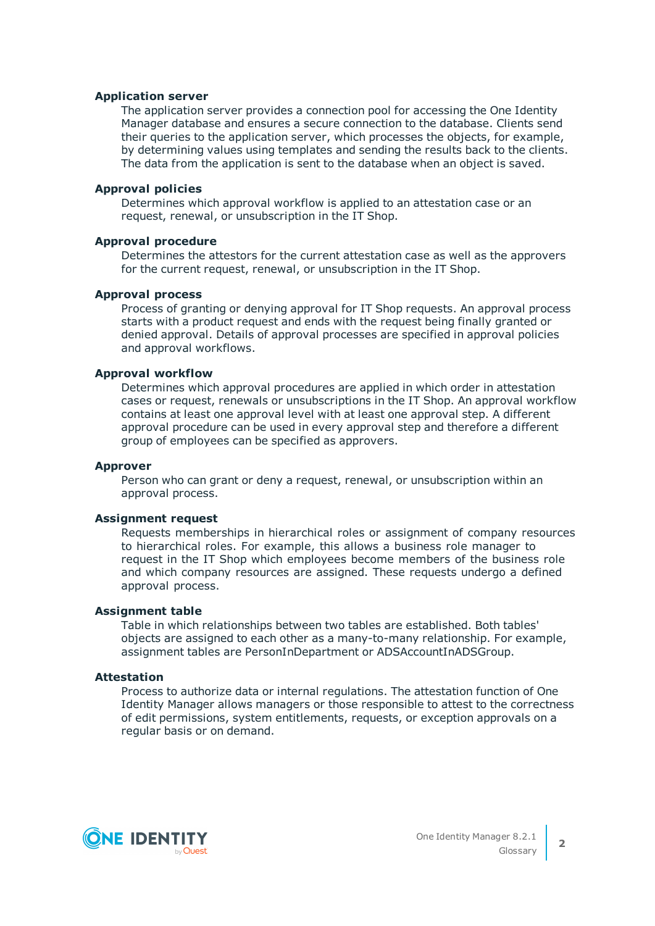#### **Application server**

The application server provides a connection pool for accessing the One Identity Manager database and ensures a secure connection to the database. Clients send their queries to the application server, which processes the objects, for example, by determining values using templates and sending the results back to the clients. The data from the application is sent to the database when an object is saved.

#### **Approval policies**

Determines which approval workflow is applied to an attestation case or an request, renewal, or unsubscription in the IT Shop.

#### **Approval procedure**

Determines the attestors for the current attestation case as well as the approvers for the current request, renewal, or unsubscription in the IT Shop.

#### **Approval process**

Process of granting or denying approval for IT Shop requests. An approval process starts with a product request and ends with the request being finally granted or denied approval. Details of approval processes are specified in approval policies and approval workflows.

#### **Approval workflow**

Determines which approval procedures are applied in which order in attestation cases or request, renewals or unsubscriptions in the IT Shop. An approval workflow contains at least one approval level with at least one approval step. A different approval procedure can be used in every approval step and therefore a different group of employees can be specified as approvers.

#### **Approver**

Person who can grant or deny a request, renewal, or unsubscription within an approval process.

#### **Assignment request**

Requests memberships in hierarchical roles or assignment of company resources to hierarchical roles. For example, this allows a business role manager to request in the IT Shop which employees become members of the business role and which company resources are assigned. These requests undergo a defined approval process.

#### **Assignment table**

Table in which relationships between two tables are established. Both tables' objects are assigned to each other as a many-to-many relationship. For example, assignment tables are PersonInDepartment or ADSAccountInADSGroup.

#### **Attestation**

Process to authorize data or internal regulations. The attestation function of One Identity Manager allows managers or those responsible to attest to the correctness of edit permissions, system entitlements, requests, or exception approvals on a regular basis or on demand.

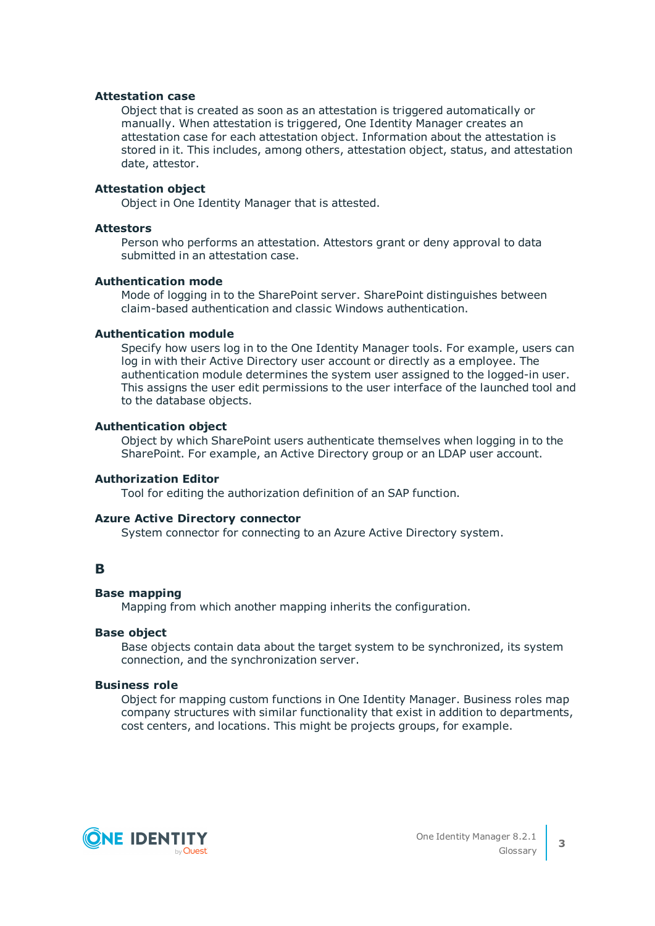## **Attestation case**

Object that is created as soon as an attestation is triggered automatically or manually. When attestation is triggered, One Identity Manager creates an attestation case for each attestation object. Information about the attestation is stored in it. This includes, among others, attestation object, status, and attestation date, attestor.

# **Attestation object**

Object in One Identity Manager that is attested.

#### **Attestors**

Person who performs an attestation. Attestors grant or deny approval to data submitted in an attestation case.

#### **Authentication mode**

Mode of logging in to the SharePoint server. SharePoint distinguishes between claim-based authentication and classic Windows authentication.

# **Authentication module**

Specify how users log in to the One Identity Manager tools. For example, users can log in with their Active Directory user account or directly as a employee. The authentication module determines the system user assigned to the logged-in user. This assigns the user edit permissions to the user interface of the launched tool and to the database objects.

# **Authentication object**

Object by which SharePoint users authenticate themselves when logging in to the SharePoint. For example, an Active Directory group or an LDAP user account.

#### **Authorization Editor**

Tool for editing the authorization definition of an SAP function.

#### **Azure Active Directory connector**

System connector for connecting to an Azure Active Directory system.

# **B**

# **Base mapping**

Mapping from which another mapping inherits the configuration.

#### **Base object**

Base objects contain data about the target system to be synchronized, its system connection, and the synchronization server.

#### **Business role**

Object for mapping custom functions in One Identity Manager. Business roles map company structures with similar functionality that exist in addition to departments, cost centers, and locations. This might be projects groups, for example.

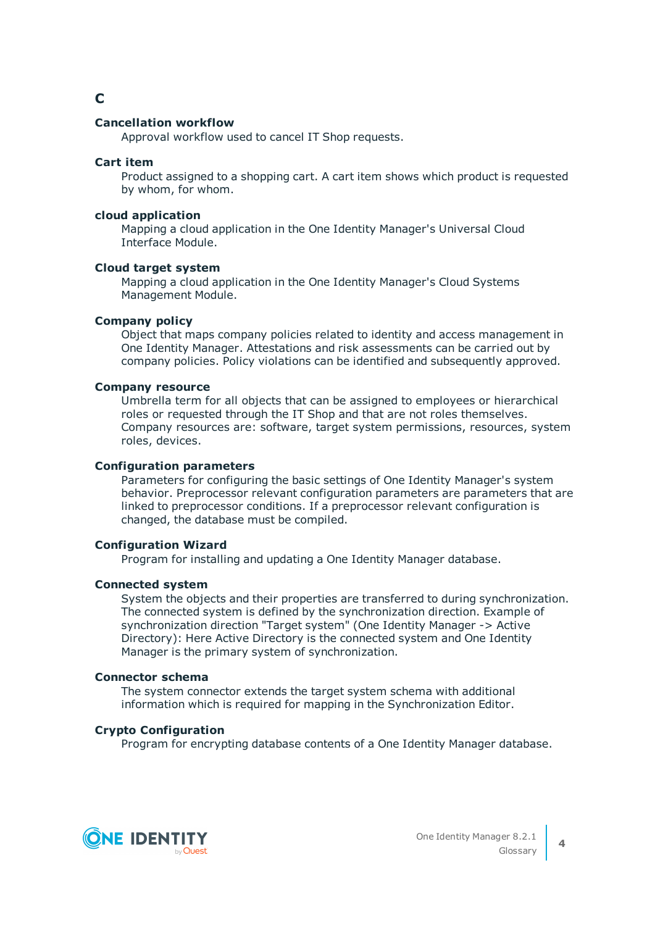# **C**

# **Cancellation workflow**

Approval workflow used to cancel IT Shop requests.

# **Cart item**

Product assigned to a shopping cart. A cart item shows which product is requested by whom, for whom.

# **cloud application**

Mapping a cloud application in the One Identity Manager's Universal Cloud Interface Module.

# **Cloud target system**

Mapping a cloud application in the One Identity Manager's Cloud Systems Management Module.

# **Company policy**

Object that maps company policies related to identity and access management in One Identity Manager. Attestations and risk assessments can be carried out by company policies. Policy violations can be identified and subsequently approved.

# **Company resource**

Umbrella term for all objects that can be assigned to employees or hierarchical roles or requested through the IT Shop and that are not roles themselves. Company resources are: software, target system permissions, resources, system roles, devices.

# **Configuration parameters**

Parameters for configuring the basic settings of One Identity Manager's system behavior. Preprocessor relevant configuration parameters are parameters that are linked to preprocessor conditions. If a preprocessor relevant configuration is changed, the database must be compiled.

# **Configuration Wizard**

Program for installing and updating a One Identity Manager database.

# **Connected system**

System the objects and their properties are transferred to during synchronization. The connected system is defined by the synchronization direction. Example of synchronization direction "Target system" (One Identity Manager -> Active Directory): Here Active Directory is the connected system and One Identity Manager is the primary system of synchronization.

# **Connector schema**

The system connector extends the target system schema with additional information which is required for mapping in the Synchronization Editor.

# **Crypto Configuration**

Program for encrypting database contents of a One Identity Manager database.

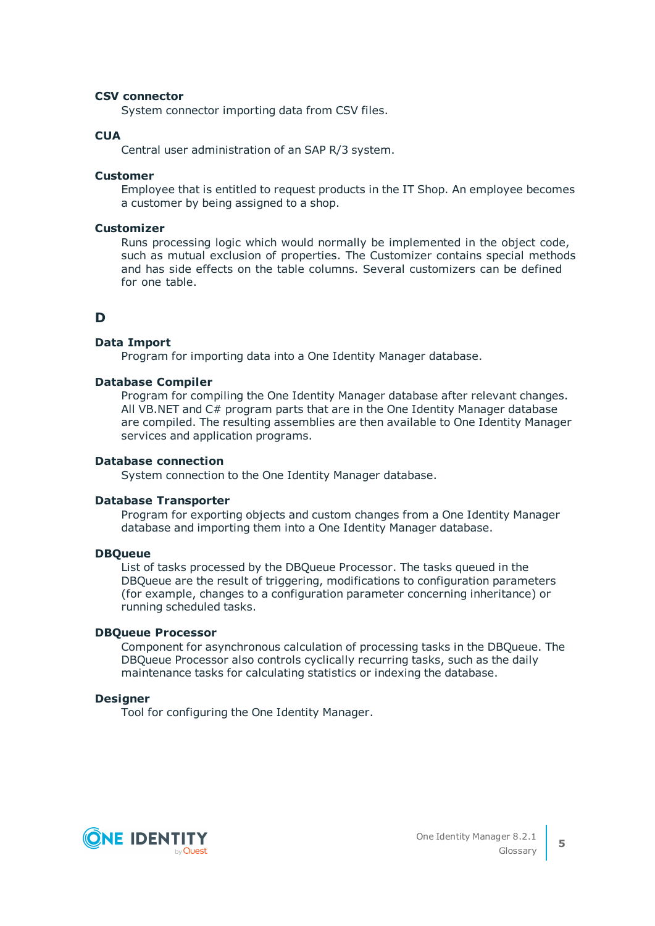# **CSV connector**

System connector importing data from CSV files.

# **CUA**

Central user administration of an SAP R/3 system.

#### **Customer**

Employee that is entitled to request products in the IT Shop. An employee becomes a customer by being assigned to a shop.

#### **Customizer**

Runs processing logic which would normally be implemented in the object code, such as mutual exclusion of properties. The Customizer contains special methods and has side effects on the table columns. Several customizers can be defined for one table.

# **D**

#### **Data Import**

Program for importing data into a One Identity Manager database.

#### **Database Compiler**

Program for compiling the One Identity Manager database after relevant changes. All VB.NET and C# program parts that are in the One Identity Manager database are compiled. The resulting assemblies are then available to One Identity Manager services and application programs.

#### **Database connection**

System connection to the One Identity Manager database.

#### **Database Transporter**

Program for exporting objects and custom changes from a One Identity Manager database and importing them into a One Identity Manager database.

#### **DBQueue**

List of tasks processed by the DBQueue Processor. The tasks queued in the DBQueue are the result of triggering, modifications to configuration parameters (for example, changes to a configuration parameter concerning inheritance) or running scheduled tasks.

#### **DBQueue Processor**

Component for asynchronous calculation of processing tasks in the DBQueue. The DBQueue Processor also controls cyclically recurring tasks, such as the daily maintenance tasks for calculating statistics or indexing the database.

#### **Designer**

Tool for configuring the One Identity Manager.

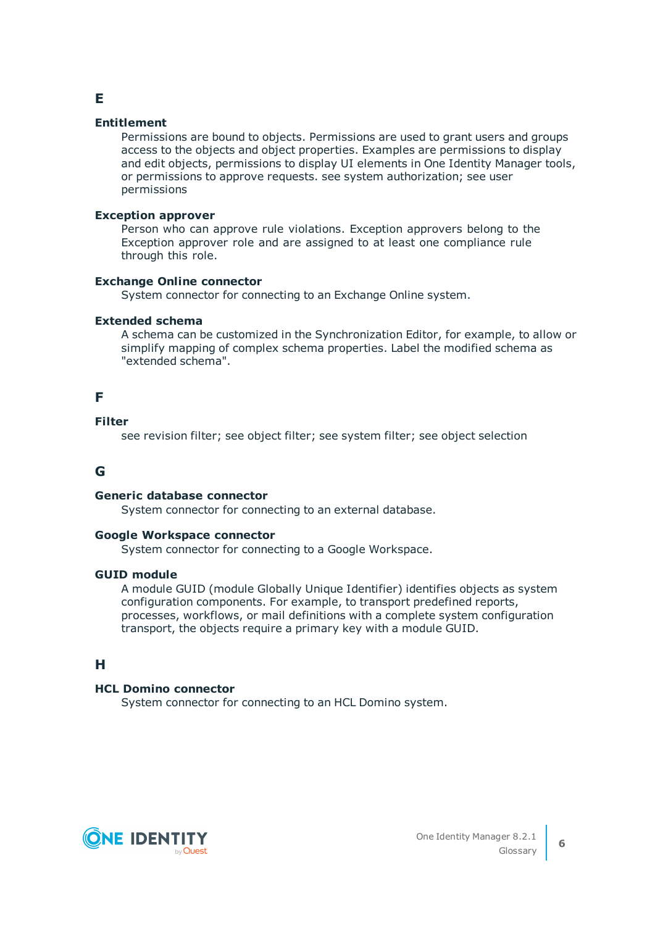# **E**

# **Entitlement**

Permissions are bound to objects. Permissions are used to grant users and groups access to the objects and object properties. Examples are permissions to display and edit objects, permissions to display UI elements in One Identity Manager tools, or permissions to approve requests. see system authorization; see user permissions

# **Exception approver**

Person who can approve rule violations. Exception approvers belong to the Exception approver role and are assigned to at least one compliance rule through this role.

# **Exchange Online connector**

System connector for connecting to an Exchange Online system.

# **Extended schema**

A schema can be customized in the Synchronization Editor, for example, to allow or simplify mapping of complex schema properties. Label the modified schema as "extended schema".

# **F**

# **Filter**

see revision filter; see object filter; see system filter; see object selection

# **G**

# **Generic database connector**

System connector for connecting to an external database.

# **Google Workspace connector**

System connector for connecting to a Google Workspace.

# **GUID module**

A module GUID (module Globally Unique Identifier) identifies objects as system configuration components. For example, to transport predefined reports, processes, workflows, or mail definitions with a complete system configuration transport, the objects require a primary key with a module GUID.

# **H**

# **HCL Domino connector**

System connector for connecting to an HCL Domino system.

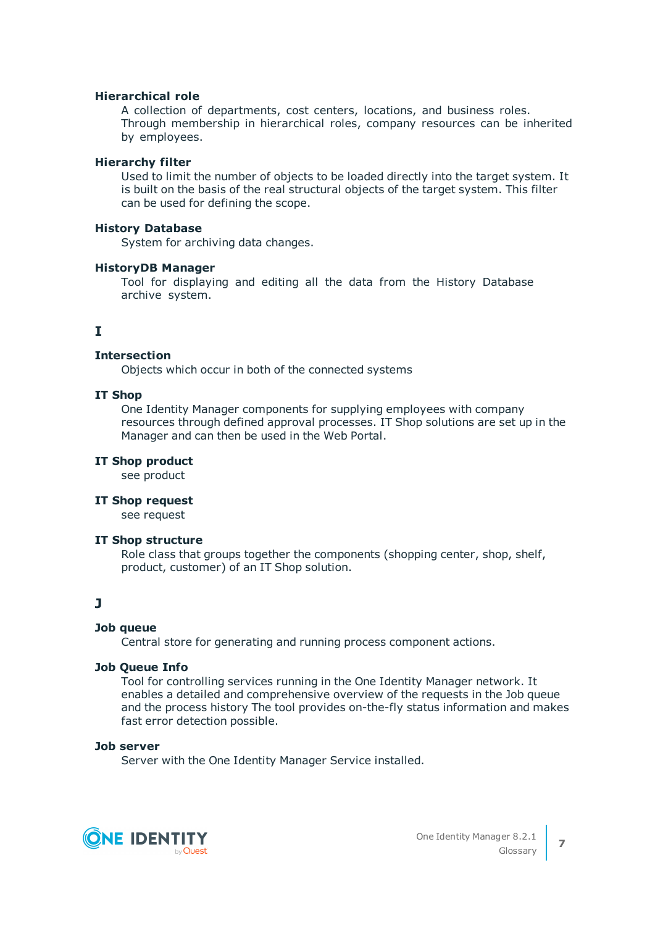#### **Hierarchical role**

A collection of departments, cost centers, locations, and business roles. Through membership in hierarchical roles, company resources can be inherited by employees.

# **Hierarchy filter**

Used to limit the number of objects to be loaded directly into the target system. It is built on the basis of the real structural objects of the target system. This filter can be used for defining the scope.

## **History Database**

System for archiving data changes.

#### **HistoryDB Manager**

Tool for displaying and editing all the data from the History Database archive system.

# **I**

# **Intersection**

Objects which occur in both of the connected systems

# **IT Shop**

One Identity Manager components for supplying employees with company resources through defined approval processes. IT Shop solutions are set up in the Manager and can then be used in the Web Portal.

# **IT Shop product**

see product

#### **IT Shop request**

see request

# **IT Shop structure**

Role class that groups together the components (shopping center, shop, shelf, product, customer) of an IT Shop solution.

# **J**

# **Job queue**

Central store for generating and running process component actions.

# **Job Queue Info**

Tool for controlling services running in the One Identity Manager network. It enables a detailed and comprehensive overview of the requests in the Job queue and the process history The tool provides on-the-fly status information and makes fast error detection possible.

# **Job server**

Server with the One Identity Manager Service installed.

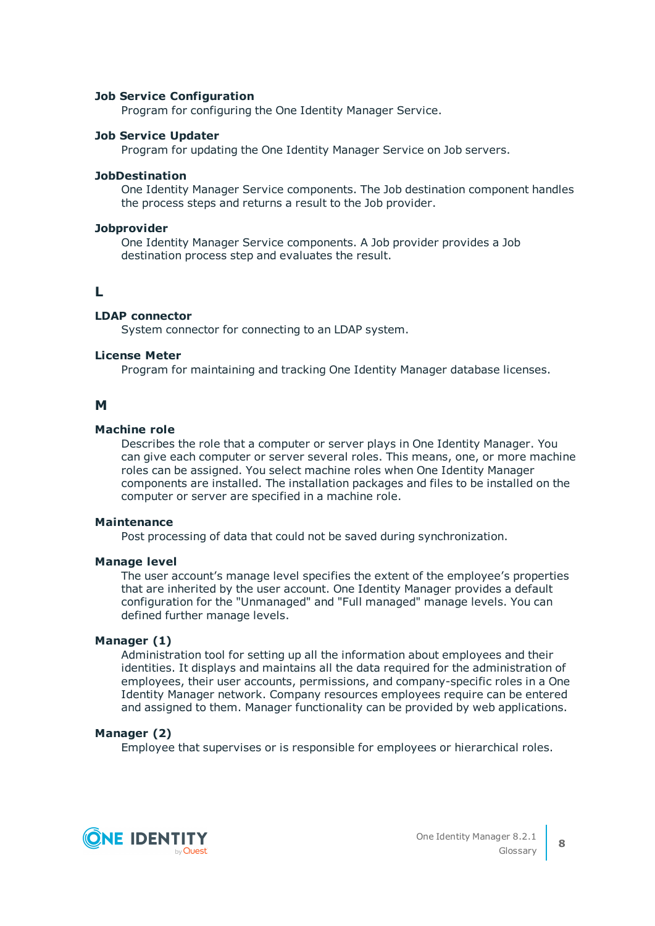## **Job Service Configuration**

Program for configuring the One Identity Manager Service.

# **Job Service Updater**

Program for updating the One Identity Manager Service on Job servers.

#### **JobDestination**

One Identity Manager Service components. The Job destination component handles the process steps and returns a result to the Job provider.

#### **Jobprovider**

One Identity Manager Service components. A Job provider provides a Job destination process step and evaluates the result.

# **L**

# **LDAP connector**

System connector for connecting to an LDAP system.

# **License Meter**

Program for maintaining and tracking One Identity Manager database licenses.

# **M**

# **Machine role**

Describes the role that a computer or server plays in One Identity Manager. You can give each computer or server several roles. This means, one, or more machine roles can be assigned. You select machine roles when One Identity Manager components are installed. The installation packages and files to be installed on the computer or server are specified in a machine role.

#### **Maintenance**

Post processing of data that could not be saved during synchronization.

# **Manage level**

The user account's manage level specifies the extent of the employee's properties that are inherited by the user account. One Identity Manager provides a default configuration for the "Unmanaged" and "Full managed" manage levels. You can defined further manage levels.

# **Manager (1)**

Administration tool for setting up all the information about employees and their identities. It displays and maintains all the data required for the administration of employees, their user accounts, permissions, and company-specific roles in a One Identity Manager network. Company resources employees require can be entered and assigned to them. Manager functionality can be provided by web applications.

# **Manager (2)**

Employee that supervises or is responsible for employees or hierarchical roles.

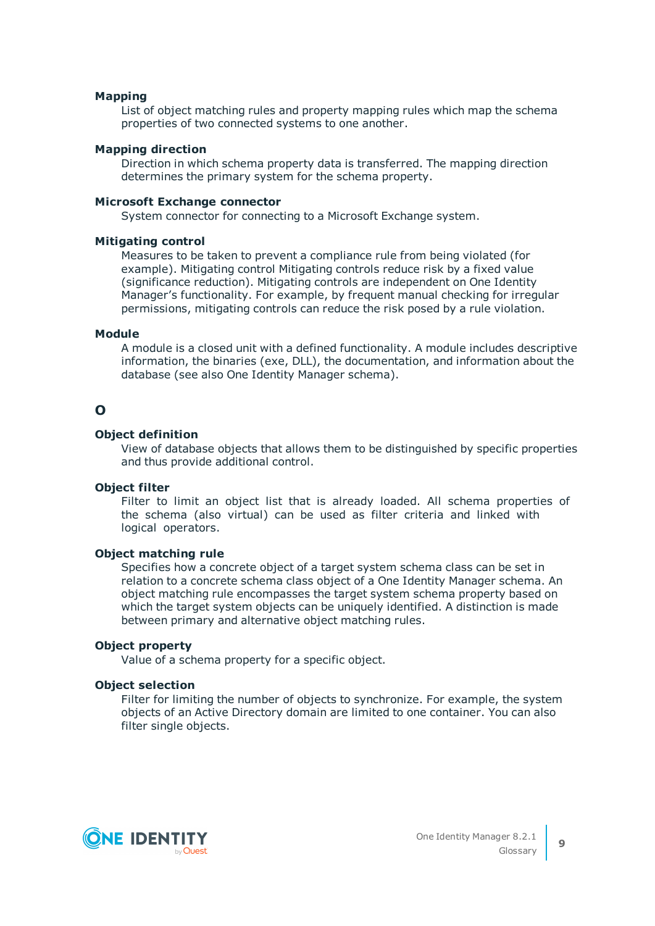#### **Mapping**

List of object matching rules and property mapping rules which map the schema properties of two connected systems to one another.

#### **Mapping direction**

Direction in which schema property data is transferred. The mapping direction determines the primary system for the schema property.

#### **Microsoft Exchange connector**

System connector for connecting to a Microsoft Exchange system.

#### **Mitigating control**

Measures to be taken to prevent a compliance rule from being violated (for example). Mitigating control Mitigating controls reduce risk by a fixed value (significance reduction). Mitigating controls are independent on One Identity Manager's functionality. For example, by frequent manual checking for irregular permissions, mitigating controls can reduce the risk posed by a rule violation.

# **Module**

A module is a closed unit with a defined functionality. A module includes descriptive information, the binaries (exe, DLL), the documentation, and information about the database (see also One Identity Manager schema).

# **O**

#### **Object definition**

View of database objects that allows them to be distinguished by specific properties and thus provide additional control.

# **Object filter**

Filter to limit an object list that is already loaded. All schema properties of the schema (also virtual) can be used as filter criteria and linked with logical operators.

# **Object matching rule**

Specifies how a concrete object of a target system schema class can be set in relation to a concrete schema class object of a One Identity Manager schema. An object matching rule encompasses the target system schema property based on which the target system objects can be uniquely identified. A distinction is made between primary and alternative object matching rules.

#### **Object property**

Value of a schema property for a specific object.

#### **Object selection**

Filter for limiting the number of objects to synchronize. For example, the system objects of an Active Directory domain are limited to one container. You can also filter single objects.

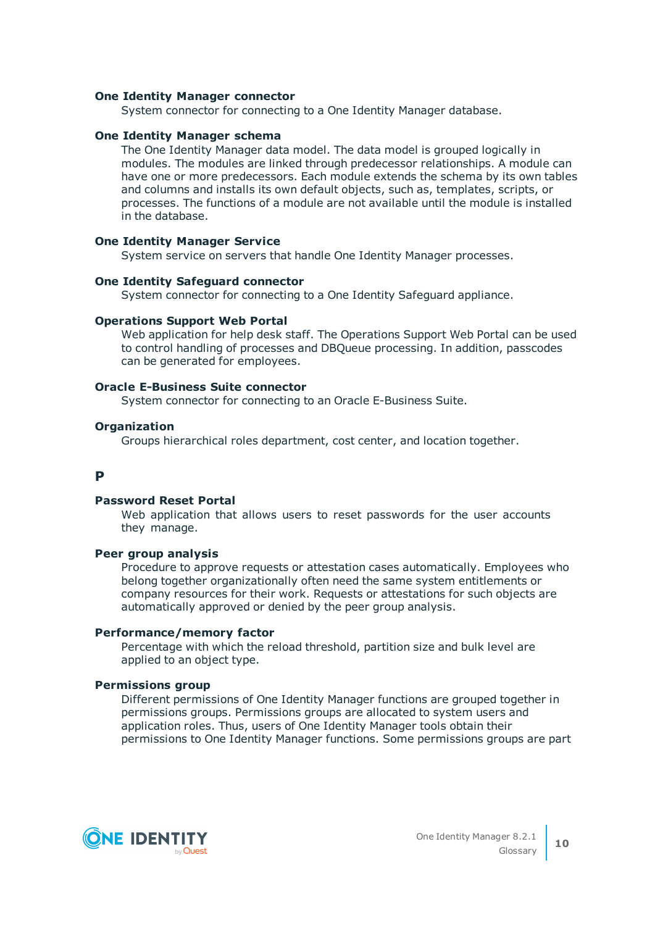#### **One Identity Manager connector**

System connector for connecting to a One Identity Manager database.

# **One Identity Manager schema**

The One Identity Manager data model. The data model is grouped logically in modules. The modules are linked through predecessor relationships. A module can have one or more predecessors. Each module extends the schema by its own tables and columns and installs its own default objects, such as, templates, scripts, or processes. The functions of a module are not available until the module is installed in the database.

#### **One Identity Manager Service**

System service on servers that handle One Identity Manager processes.

# **One Identity Safeguard connector**

System connector for connecting to a One Identity Safeguard appliance.

#### **Operations Support Web Portal**

Web application for help desk staff. The Operations Support Web Portal can be used to control handling of processes and DBQueue processing. In addition, passcodes can be generated for employees.

#### **Oracle E-Business Suite connector**

System connector for connecting to an Oracle E-Business Suite.

# **Organization**

Groups hierarchical roles department, cost center, and location together.

# **P**

#### **Password Reset Portal**

Web application that allows users to reset passwords for the user accounts they manage.

# **Peer group analysis**

Procedure to approve requests or attestation cases automatically. Employees who belong together organizationally often need the same system entitlements or company resources for their work. Requests or attestations for such objects are automatically approved or denied by the peer group analysis.

# **Performance/memory factor**

Percentage with which the reload threshold, partition size and bulk level are applied to an object type.

# **Permissions group**

Different permissions of One Identity Manager functions are grouped together in permissions groups. Permissions groups are allocated to system users and application roles. Thus, users of One Identity Manager tools obtain their permissions to One Identity Manager functions. Some permissions groups are part

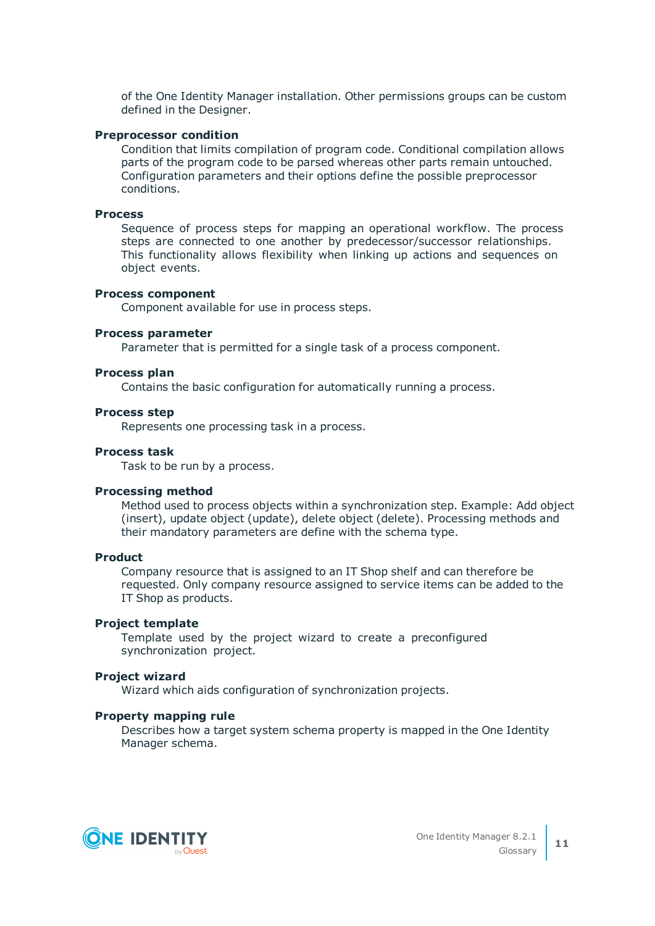of the One Identity Manager installation. Other permissions groups can be custom defined in the Designer.

#### **Preprocessor condition**

Condition that limits compilation of program code. Conditional compilation allows parts of the program code to be parsed whereas other parts remain untouched. Configuration parameters and their options define the possible preprocessor conditions.

# **Process**

Sequence of process steps for mapping an operational workflow. The process steps are connected to one another by predecessor/successor relationships. This functionality allows flexibility when linking up actions and sequences on object events.

#### **Process component**

Component available for use in process steps.

#### **Process parameter**

Parameter that is permitted for a single task of a process component.

#### **Process plan**

Contains the basic configuration for automatically running a process.

#### **Process step**

Represents one processing task in a process.

# **Process task**

Task to be run by a process.

#### **Processing method**

Method used to process objects within a synchronization step. Example: Add object (insert), update object (update), delete object (delete). Processing methods and their mandatory parameters are define with the schema type.

#### **Product**

Company resource that is assigned to an IT Shop shelf and can therefore be requested. Only company resource assigned to service items can be added to the IT Shop as products.

#### **Project template**

Template used by the project wizard to create a preconfigured synchronization project.

#### **Project wizard**

Wizard which aids configuration of synchronization projects.

#### **Property mapping rule**

Describes how a target system schema property is mapped in the One Identity Manager schema.

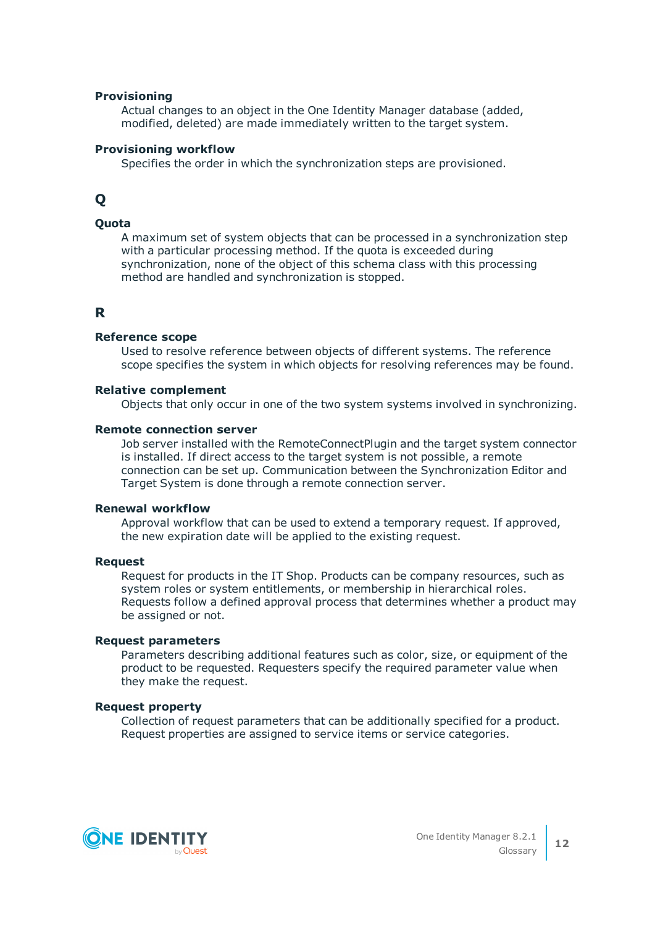#### **Provisioning**

Actual changes to an object in the One Identity Manager database (added, modified, deleted) are made immediately written to the target system.

#### **Provisioning workflow**

Specifies the order in which the synchronization steps are provisioned.

# **Q**

# **Quota**

A maximum set of system objects that can be processed in a synchronization step with a particular processing method. If the quota is exceeded during synchronization, none of the object of this schema class with this processing method are handled and synchronization is stopped.

# **R**

#### **Reference scope**

Used to resolve reference between objects of different systems. The reference scope specifies the system in which objects for resolving references may be found.

# **Relative complement**

Objects that only occur in one of the two system systems involved in synchronizing.

#### **Remote connection server**

Job server installed with the RemoteConnectPlugin and the target system connector is installed. If direct access to the target system is not possible, a remote connection can be set up. Communication between the Synchronization Editor and Target System is done through a remote connection server.

#### **Renewal workflow**

Approval workflow that can be used to extend a temporary request. If approved, the new expiration date will be applied to the existing request.

#### **Request**

Request for products in the IT Shop. Products can be company resources, such as system roles or system entitlements, or membership in hierarchical roles. Requests follow a defined approval process that determines whether a product may be assigned or not.

#### **Request parameters**

Parameters describing additional features such as color, size, or equipment of the product to be requested. Requesters specify the required parameter value when they make the request.

#### **Request property**

Collection of request parameters that can be additionally specified for a product. Request properties are assigned to service items or service categories.

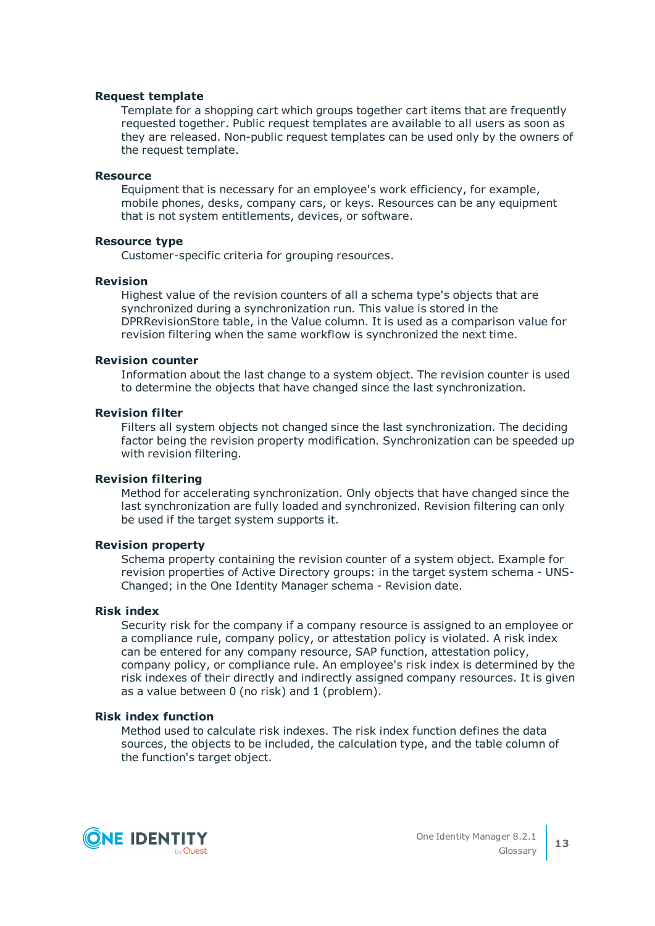#### **Request template**

Template for a shopping cart which groups together cart items that are frequently requested together. Public request templates are available to all users as soon as they are released. Non-public request templates can be used only by the owners of the request template.

#### **Resource**

Equipment that is necessary for an employee's work efficiency, for example, mobile phones, desks, company cars, or keys. Resources can be any equipment that is not system entitlements, devices, or software.

## **Resource type**

Customer-specific criteria for grouping resources.

#### **Revision**

Highest value of the revision counters of all a schema type's objects that are synchronized during a synchronization run. This value is stored in the DPRRevisionStore table, in the Value column. It is used as a comparison value for revision filtering when the same workflow is synchronized the next time.

#### **Revision counter**

Information about the last change to a system object. The revision counter is used to determine the objects that have changed since the last synchronization.

#### **Revision filter**

Filters all system objects not changed since the last synchronization. The deciding factor being the revision property modification. Synchronization can be speeded up with revision filtering.

# **Revision filtering**

Method for accelerating synchronization. Only objects that have changed since the last synchronization are fully loaded and synchronized. Revision filtering can only be used if the target system supports it.

#### **Revision property**

Schema property containing the revision counter of a system object. Example for revision properties of Active Directory groups: in the target system schema - UNS-Changed; in the One Identity Manager schema - Revision date.

#### **Risk index**

Security risk for the company if a company resource is assigned to an employee or a compliance rule, company policy, or attestation policy is violated. A risk index can be entered for any company resource, SAP function, attestation policy, company policy, or compliance rule. An employee's risk index is determined by the risk indexes of their directly and indirectly assigned company resources. It is given as a value between 0 (no risk) and 1 (problem).

# **Risk index function**

Method used to calculate risk indexes. The risk index function defines the data sources, the objects to be included, the calculation type, and the table column of the function's target object.

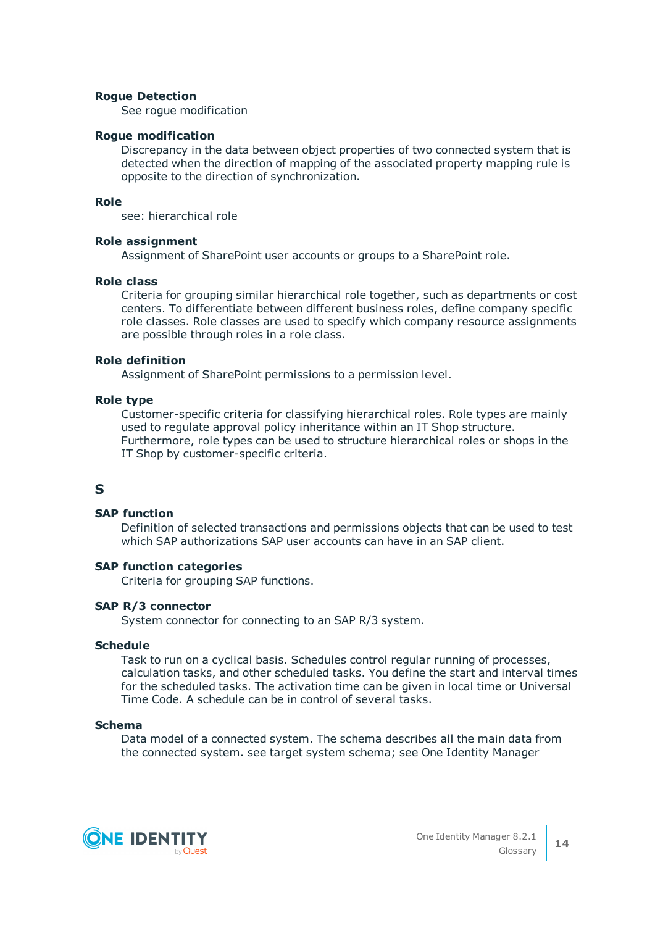## **Rogue Detection**

See rogue modification

#### **Rogue modification**

Discrepancy in the data between object properties of two connected system that is detected when the direction of mapping of the associated property mapping rule is opposite to the direction of synchronization.

# **Role**

see: hierarchical role

#### **Role assignment**

Assignment of SharePoint user accounts or groups to a SharePoint role.

#### **Role class**

Criteria for grouping similar hierarchical role together, such as departments or cost centers. To differentiate between different business roles, define company specific role classes. Role classes are used to specify which company resource assignments are possible through roles in a role class.

#### **Role definition**

Assignment of SharePoint permissions to a permission level.

#### **Role type**

Customer-specific criteria for classifying hierarchical roles. Role types are mainly used to regulate approval policy inheritance within an IT Shop structure. Furthermore, role types can be used to structure hierarchical roles or shops in the IT Shop by customer-specific criteria.

# **S**

# **SAP function**

Definition of selected transactions and permissions objects that can be used to test which SAP authorizations SAP user accounts can have in an SAP client.

# **SAP function categories**

Criteria for grouping SAP functions.

# **SAP R/3 connector**

System connector for connecting to an SAP R/3 system.

# **Schedule**

Task to run on a cyclical basis. Schedules control regular running of processes, calculation tasks, and other scheduled tasks. You define the start and interval times for the scheduled tasks. The activation time can be given in local time or Universal Time Code. A schedule can be in control of several tasks.

#### **Schema**

Data model of a connected system. The schema describes all the main data from the connected system. see target system schema; see One Identity Manager

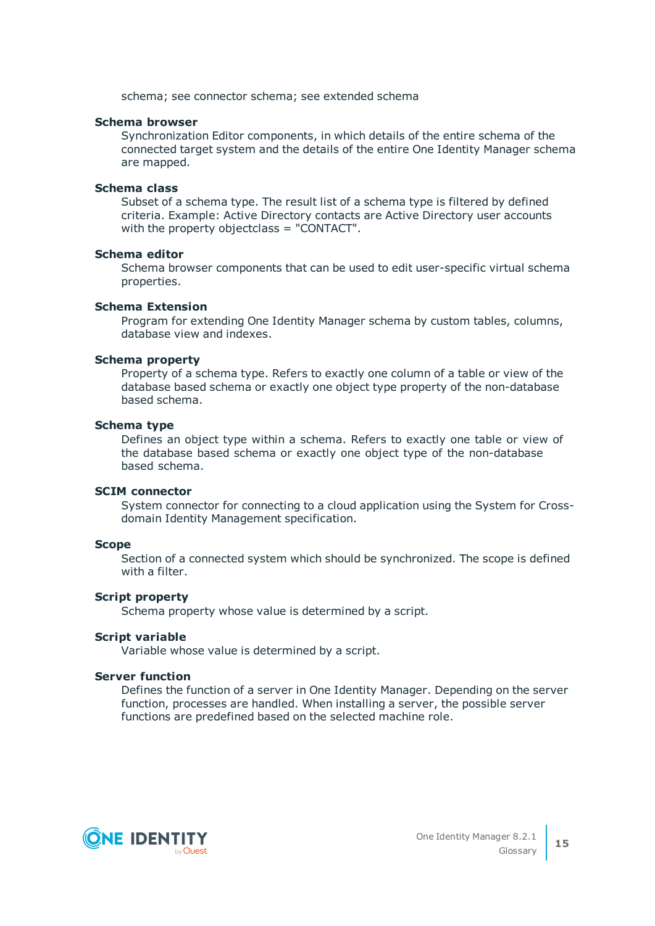schema; see connector schema; see extended schema

#### **Schema browser**

Synchronization Editor components, in which details of the entire schema of the connected target system and the details of the entire One Identity Manager schema are mapped.

#### **Schema class**

Subset of a schema type. The result list of a schema type is filtered by defined criteria. Example: Active Directory contacts are Active Directory user accounts with the property objectclass = "CONTACT".

#### **Schema editor**

Schema browser components that can be used to edit user-specific virtual schema properties.

# **Schema Extension**

Program for extending One Identity Manager schema by custom tables, columns, database view and indexes.

#### **Schema property**

Property of a schema type. Refers to exactly one column of a table or view of the database based schema or exactly one object type property of the non-database based schema.

#### **Schema type**

Defines an object type within a schema. Refers to exactly one table or view of the database based schema or exactly one object type of the non-database based schema.

#### **SCIM connector**

System connector for connecting to a cloud application using the System for Crossdomain Identity Management specification.

#### **Scope**

Section of a connected system which should be synchronized. The scope is defined with a filter.

#### **Script property**

Schema property whose value is determined by a script.

#### **Script variable**

Variable whose value is determined by a script.

#### **Server function**

Defines the function of a server in One Identity Manager. Depending on the server function, processes are handled. When installing a server, the possible server functions are predefined based on the selected machine role.

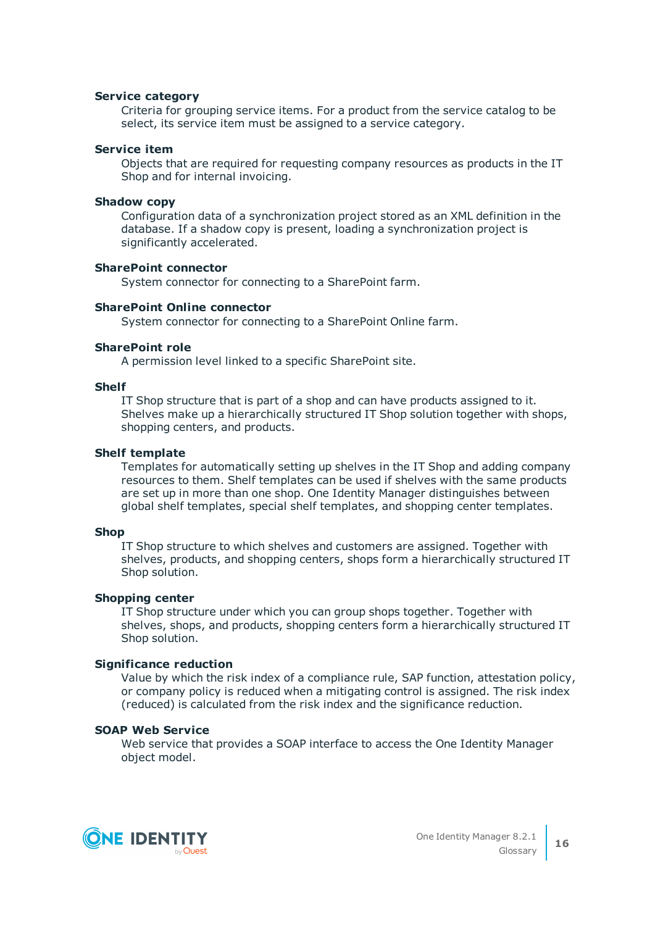#### **Service category**

Criteria for grouping service items. For a product from the service catalog to be select, its service item must be assigned to a service category.

#### **Service item**

Objects that are required for requesting company resources as products in the IT Shop and for internal invoicing.

#### **Shadow copy**

Configuration data of a synchronization project stored as an XML definition in the database. If a shadow copy is present, loading a synchronization project is significantly accelerated.

#### **SharePoint connector**

System connector for connecting to a SharePoint farm.

# **SharePoint Online connector**

System connector for connecting to a SharePoint Online farm.

#### **SharePoint role**

A permission level linked to a specific SharePoint site.

#### **Shelf**

IT Shop structure that is part of a shop and can have products assigned to it. Shelves make up a hierarchically structured IT Shop solution together with shops, shopping centers, and products.

#### **Shelf template**

Templates for automatically setting up shelves in the IT Shop and adding company resources to them. Shelf templates can be used if shelves with the same products are set up in more than one shop. One Identity Manager distinguishes between global shelf templates, special shelf templates, and shopping center templates.

#### **Shop**

IT Shop structure to which shelves and customers are assigned. Together with shelves, products, and shopping centers, shops form a hierarchically structured IT Shop solution.

# **Shopping center**

IT Shop structure under which you can group shops together. Together with shelves, shops, and products, shopping centers form a hierarchically structured IT Shop solution.

# **Significance reduction**

Value by which the risk index of a compliance rule, SAP function, attestation policy, or company policy is reduced when a mitigating control is assigned. The risk index (reduced) is calculated from the risk index and the significance reduction.

# **SOAP Web Service**

Web service that provides a SOAP interface to access the One Identity Manager object model.

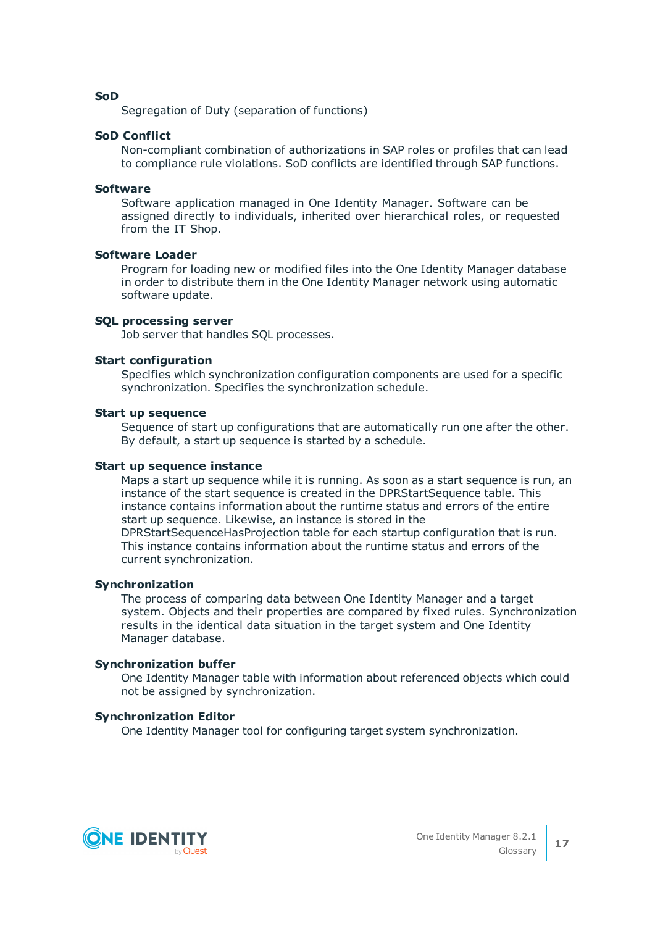**SoD**

Segregation of Duty (separation of functions)

# **SoD Conflict**

Non-compliant combination of authorizations in SAP roles or profiles that can lead to compliance rule violations. SoD conflicts are identified through SAP functions.

# **Software**

Software application managed in One Identity Manager. Software can be assigned directly to individuals, inherited over hierarchical roles, or requested from the IT Shop.

# **Software Loader**

Program for loading new or modified files into the One Identity Manager database in order to distribute them in the One Identity Manager network using automatic software update.

# **SQL processing server**

Job server that handles SQL processes.

# **Start configuration**

Specifies which synchronization configuration components are used for a specific synchronization. Specifies the synchronization schedule.

### **Start up sequence**

Sequence of start up configurations that are automatically run one after the other. By default, a start up sequence is started by a schedule.

# **Start up sequence instance**

Maps a start up sequence while it is running. As soon as a start sequence is run, an instance of the start sequence is created in the DPRStartSequence table. This instance contains information about the runtime status and errors of the entire start up sequence. Likewise, an instance is stored in the

DPRStartSequenceHasProjection table for each startup configuration that is run. This instance contains information about the runtime status and errors of the current synchronization.

# **Synchronization**

The process of comparing data between One Identity Manager and a target system. Objects and their properties are compared by fixed rules. Synchronization results in the identical data situation in the target system and One Identity Manager database.

# **Synchronization buffer**

One Identity Manager table with information about referenced objects which could not be assigned by synchronization.

# **Synchronization Editor**

One Identity Manager tool for configuring target system synchronization.

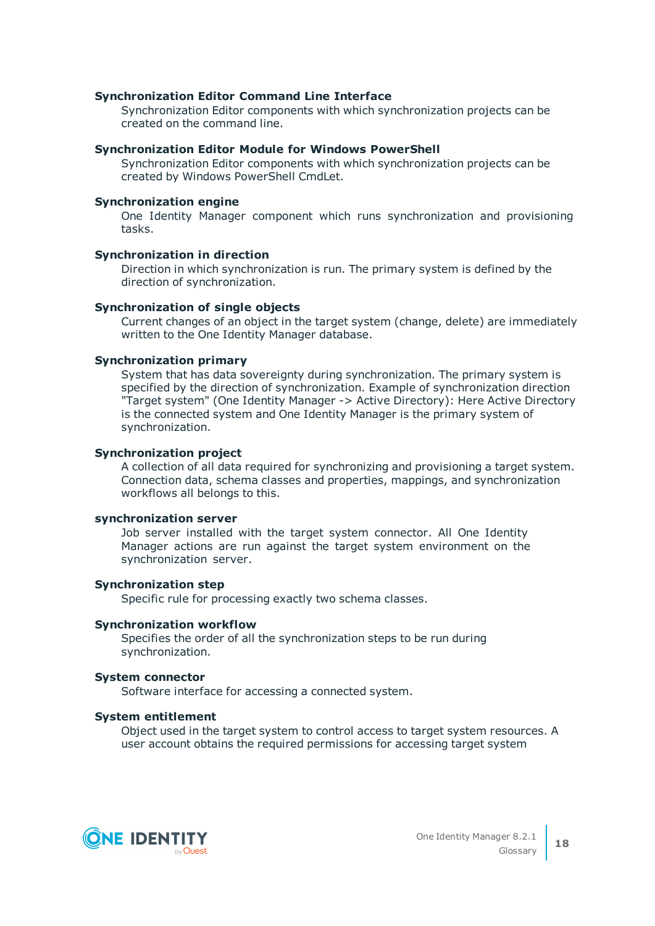#### **Synchronization Editor Command Line Interface**

Synchronization Editor components with which synchronization projects can be created on the command line.

#### **Synchronization Editor Module for Windows PowerShell**

Synchronization Editor components with which synchronization projects can be created by Windows PowerShell CmdLet.

# **Synchronization engine**

One Identity Manager component which runs synchronization and provisioning tasks.

#### **Synchronization in direction**

Direction in which synchronization is run. The primary system is defined by the direction of synchronization.

#### **Synchronization of single objects**

Current changes of an object in the target system (change, delete) are immediately written to the One Identity Manager database.

#### **Synchronization primary**

System that has data sovereignty during synchronization. The primary system is specified by the direction of synchronization. Example of synchronization direction "Target system" (One Identity Manager -> Active Directory): Here Active Directory is the connected system and One Identity Manager is the primary system of synchronization.

#### **Synchronization project**

A collection of all data required for synchronizing and provisioning a target system. Connection data, schema classes and properties, mappings, and synchronization workflows all belongs to this.

# **synchronization server**

Job server installed with the target system connector. All One Identity Manager actions are run against the target system environment on the synchronization server.

#### **Synchronization step**

Specific rule for processing exactly two schema classes.

#### **Synchronization workflow**

Specifies the order of all the synchronization steps to be run during synchronization.

#### **System connector**

Software interface for accessing a connected system.

#### **System entitlement**

Object used in the target system to control access to target system resources. A user account obtains the required permissions for accessing target system

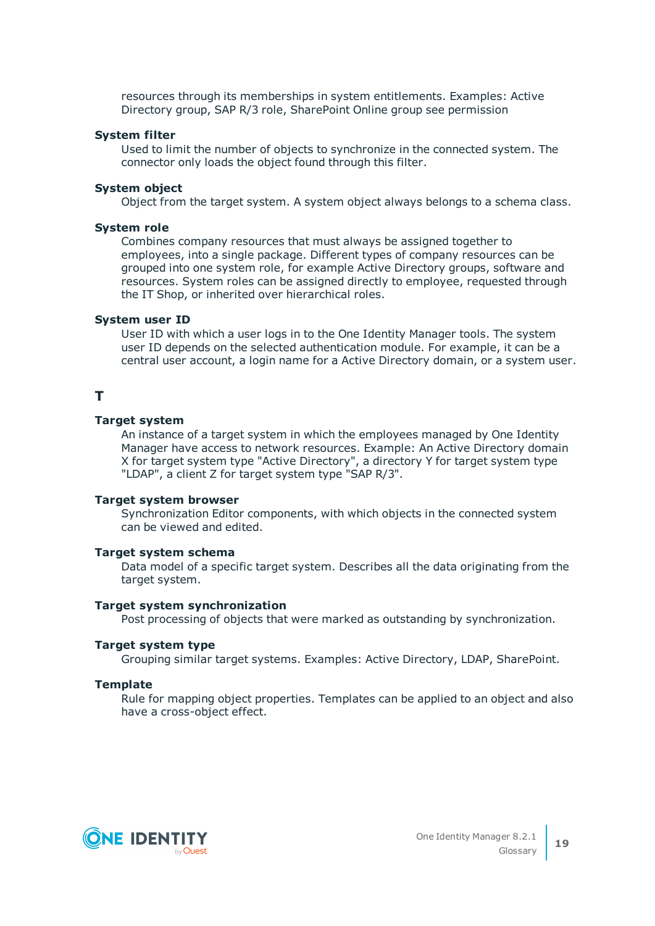resources through its memberships in system entitlements. Examples: Active Directory group, SAP R/3 role, SharePoint Online group see permission

#### **System filter**

Used to limit the number of objects to synchronize in the connected system. The connector only loads the object found through this filter.

#### **System object**

Object from the target system. A system object always belongs to a schema class.

#### **System role**

Combines company resources that must always be assigned together to employees, into a single package. Different types of company resources can be grouped into one system role, for example Active Directory groups, software and resources. System roles can be assigned directly to employee, requested through the IT Shop, or inherited over hierarchical roles.

#### **System user ID**

User ID with which a user logs in to the One Identity Manager tools. The system user ID depends on the selected authentication module. For example, it can be a central user account, a login name for a Active Directory domain, or a system user.

# **T**

#### **Target system**

An instance of a target system in which the employees managed by One Identity Manager have access to network resources. Example: An Active Directory domain X for target system type "Active Directory", a directory Y for target system type "LDAP", a client Z for target system type "SAP R/3".

#### **Target system browser**

Synchronization Editor components, with which objects in the connected system can be viewed and edited.

#### **Target system schema**

Data model of a specific target system. Describes all the data originating from the target system.

#### **Target system synchronization**

Post processing of objects that were marked as outstanding by synchronization.

#### **Target system type**

Grouping similar target systems. Examples: Active Directory, LDAP, SharePoint.

# **Template**

Rule for mapping object properties. Templates can be applied to an object and also have a cross-object effect.

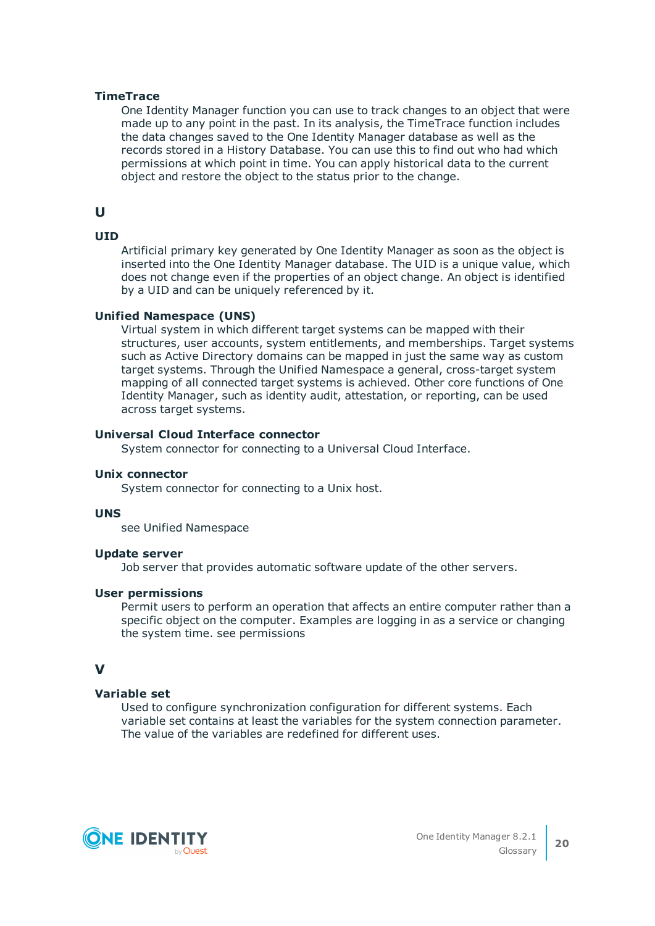## **TimeTrace**

One Identity Manager function you can use to track changes to an object that were made up to any point in the past. In its analysis, the TimeTrace function includes the data changes saved to the One Identity Manager database as well as the records stored in a History Database. You can use this to find out who had which permissions at which point in time. You can apply historical data to the current object and restore the object to the status prior to the change.

# **U**

# **UID**

Artificial primary key generated by One Identity Manager as soon as the object is inserted into the One Identity Manager database. The UID is a unique value, which does not change even if the properties of an object change. An object is identified by a UID and can be uniquely referenced by it.

#### **Unified Namespace (UNS)**

Virtual system in which different target systems can be mapped with their structures, user accounts, system entitlements, and memberships. Target systems such as Active Directory domains can be mapped in just the same way as custom target systems. Through the Unified Namespace a general, cross-target system mapping of all connected target systems is achieved. Other core functions of One Identity Manager, such as identity audit, attestation, or reporting, can be used across target systems.

#### **Universal Cloud Interface connector**

System connector for connecting to a Universal Cloud Interface.

#### **Unix connector**

System connector for connecting to a Unix host.

#### **UNS**

see Unified Namespace

#### **Update server**

Job server that provides automatic software update of the other servers.

#### **User permissions**

Permit users to perform an operation that affects an entire computer rather than a specific object on the computer. Examples are logging in as a service or changing the system time. see permissions

# **V**

# **Variable set**

Used to configure synchronization configuration for different systems. Each variable set contains at least the variables for the system connection parameter. The value of the variables are redefined for different uses.

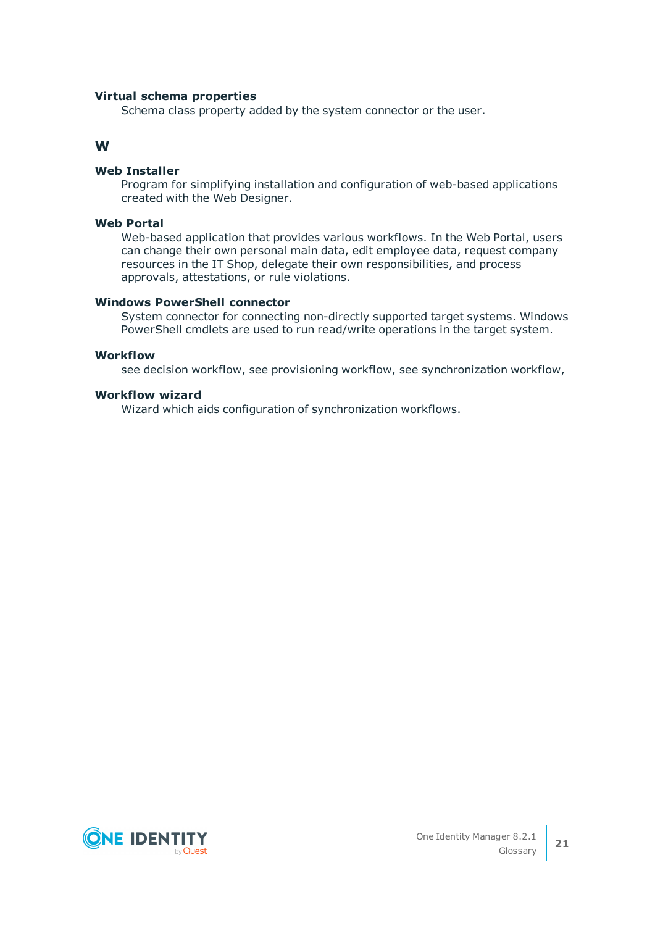# **Virtual schema properties**

Schema class property added by the system connector or the user.

# **W**

### **Web Installer**

Program for simplifying installation and configuration of web-based applications created with the Web Designer.

## **Web Portal**

Web-based application that provides various workflows. In the Web Portal, users can change their own personal main data, edit employee data, request company resources in the IT Shop, delegate their own responsibilities, and process approvals, attestations, or rule violations.

#### **Windows PowerShell connector**

System connector for connecting non-directly supported target systems. Windows PowerShell cmdlets are used to run read/write operations in the target system.

# **Workflow**

see decision workflow, see provisioning workflow, see synchronization workflow,

# **Workflow wizard**

Wizard which aids configuration of synchronization workflows.

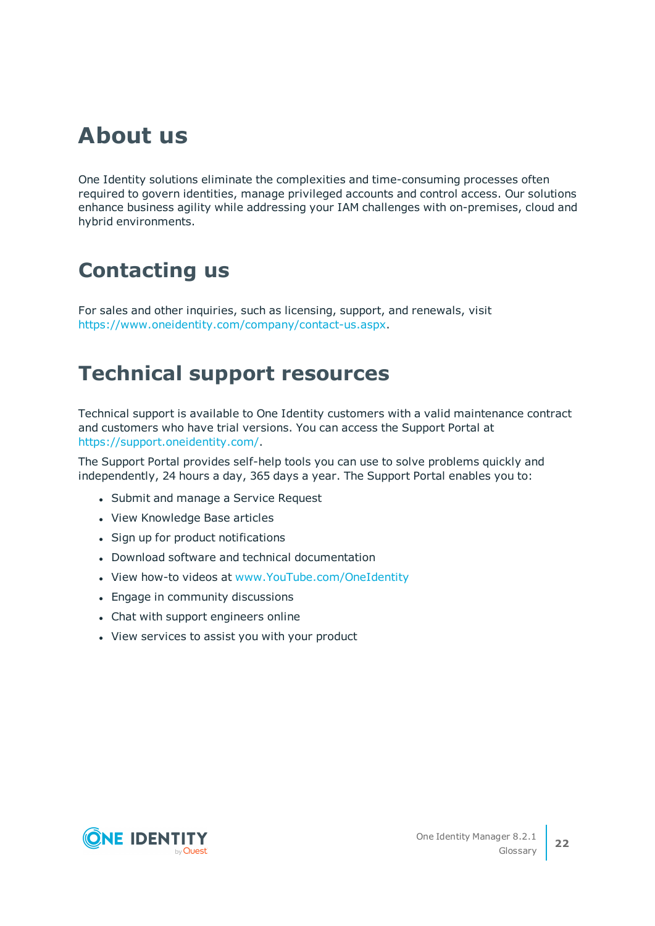# **About us**

One Identity solutions eliminate the complexities and time-consuming processes often required to govern identities, manage privileged accounts and control access. Our solutions enhance business agility while addressing your IAM challenges with on-premises, cloud and hybrid environments.

# **Contacting us**

For sales and other inquiries, such as licensing, support, and renewals, visit <https://www.oneidentity.com/company/contact-us.aspx>.

# **Technical support resources**

Technical support is available to One Identity customers with a valid maintenance contract and customers who have trial versions. You can access the Support Portal at [https://support.oneidentity.com/.](https://support.oneidentity.com/)

The Support Portal provides self-help tools you can use to solve problems quickly and independently, 24 hours a day, 365 days a year. The Support Portal enables you to:

- Submit and manage a Service Request
- View Knowledge Base articles
- Sign up for product notifications
- Download software and technical documentation
- View how-to videos at [www.YouTube.com/OneIdentity](http://www.youtube.com/OneIdentity)
- Engage in community discussions
- Chat with support engineers online
- View services to assist you with your product